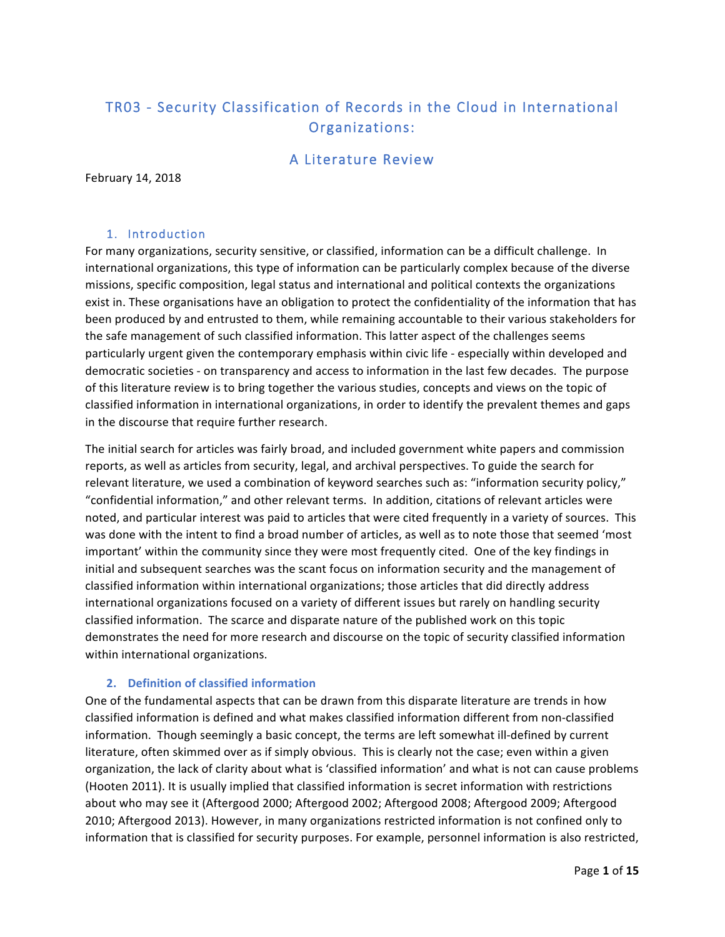# TR03 - Security Classification of Records in the Cloud in International Organizations:

# A Literature Review

February 14, 2018

### 1. Introduction

For many organizations, security sensitive, or classified, information can be a difficult challenge. In international organizations, this type of information can be particularly complex because of the diverse missions, specific composition, legal status and international and political contexts the organizations exist in. These organisations have an obligation to protect the confidentiality of the information that has been produced by and entrusted to them, while remaining accountable to their various stakeholders for the safe management of such classified information. This latter aspect of the challenges seems particularly urgent given the contemporary emphasis within civic life - especially within developed and democratic societies - on transparency and access to information in the last few decades. The purpose of this literature review is to bring together the various studies, concepts and views on the topic of classified information in international organizations, in order to identify the prevalent themes and gaps in the discourse that require further research.

The initial search for articles was fairly broad, and included government white papers and commission reports, as well as articles from security, legal, and archival perspectives. To guide the search for relevant literature, we used a combination of keyword searches such as: "information security policy," "confidential information," and other relevant terms. In addition, citations of relevant articles were noted, and particular interest was paid to articles that were cited frequently in a variety of sources. This was done with the intent to find a broad number of articles, as well as to note those that seemed 'most important' within the community since they were most frequently cited. One of the key findings in initial and subsequent searches was the scant focus on information security and the management of classified information within international organizations; those articles that did directly address international organizations focused on a variety of different issues but rarely on handling security classified information. The scarce and disparate nature of the published work on this topic demonstrates the need for more research and discourse on the topic of security classified information within international organizations.

### **2. Definition of classified information**

One of the fundamental aspects that can be drawn from this disparate literature are trends in how classified information is defined and what makes classified information different from non-classified information. Though seemingly a basic concept, the terms are left somewhat ill-defined by current literature, often skimmed over as if simply obvious. This is clearly not the case; even within a given organization, the lack of clarity about what is 'classified information' and what is not can cause problems (Hooten 2011). It is usually implied that classified information is secret information with restrictions about who may see it (Aftergood 2000; Aftergood 2002; Aftergood 2008; Aftergood 2009; Aftergood 2010; Aftergood 2013). However, in many organizations restricted information is not confined only to information that is classified for security purposes. For example, personnel information is also restricted,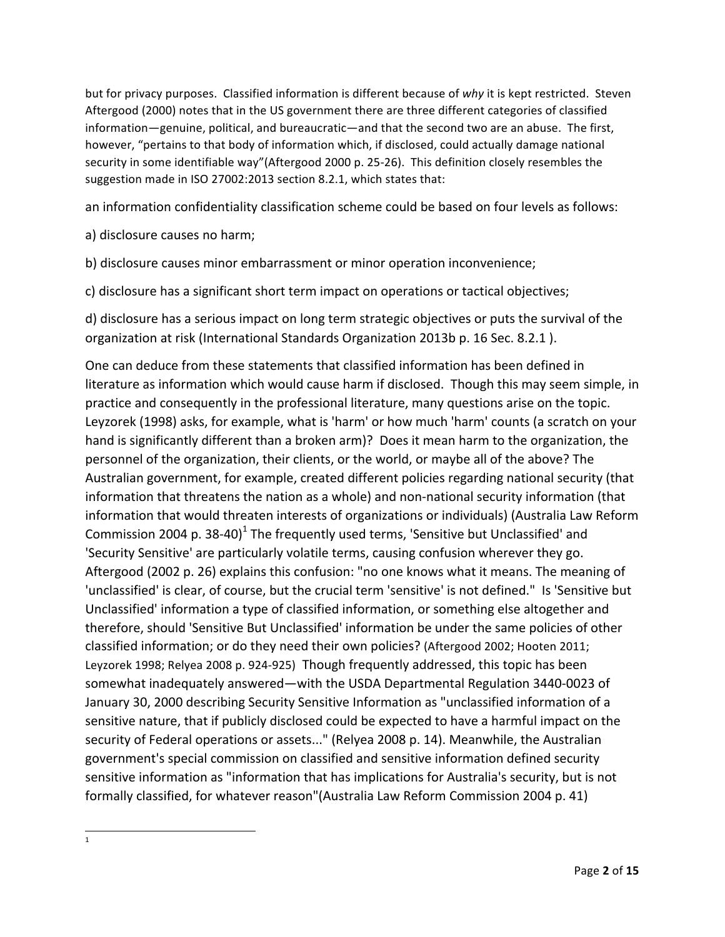but for privacy purposes. Classified information is different because of why it is kept restricted. Steven Aftergood (2000) notes that in the US government there are three different categories of classified information—genuine, political, and bureaucratic—and that the second two are an abuse. The first, however, "pertains to that body of information which, if disclosed, could actually damage national security in some identifiable way"(Aftergood 2000 p. 25-26). This definition closely resembles the suggestion made in ISO 27002:2013 section 8.2.1, which states that:

an information confidentiality classification scheme could be based on four levels as follows:

- a) disclosure causes no harm;
- b) disclosure causes minor embarrassment or minor operation inconvenience;
- c) disclosure has a significant short term impact on operations or tactical objectives;

d) disclosure has a serious impact on long term strategic objectives or puts the survival of the organization at risk (International Standards Organization 2013b p. 16 Sec. 8.2.1).

One can deduce from these statements that classified information has been defined in literature as information which would cause harm if disclosed. Though this may seem simple, in practice and consequently in the professional literature, many questions arise on the topic. Leyzorek (1998) asks, for example, what is 'harm' or how much 'harm' counts (a scratch on your hand is significantly different than a broken arm)? Does it mean harm to the organization, the personnel of the organization, their clients, or the world, or maybe all of the above? The Australian government, for example, created different policies regarding national security (that information that threatens the nation as a whole) and non-national security information (that information that would threaten interests of organizations or individuals) (Australia Law Reform Commission 2004 p. 38-40)<sup>1</sup> The frequently used terms, 'Sensitive but Unclassified' and 'Security Sensitive' are particularly volatile terms, causing confusion wherever they go. Aftergood (2002 p. 26) explains this confusion: "no one knows what it means. The meaning of 'unclassified' is clear, of course, but the crucial term 'sensitive' is not defined." Is 'Sensitive but Unclassified' information a type of classified information, or something else altogether and therefore, should 'Sensitive But Unclassified' information be under the same policies of other classified information; or do they need their own policies? (Aftergood 2002; Hooten 2011; Leyzorek 1998; Relyea 2008 p. 924-925) Though frequently addressed, this topic has been somewhat inadequately answered—with the USDA Departmental Regulation 3440-0023 of January 30, 2000 describing Security Sensitive Information as "unclassified information of a sensitive nature, that if publicly disclosed could be expected to have a harmful impact on the security of Federal operations or assets..." (Relyea 2008 p. 14). Meanwhile, the Australian government's special commission on classified and sensitive information defined security sensitive information as "information that has implications for Australia's security, but is not formally classified, for whatever reason"(Australia Law Reform Commission 2004 p. 41)

<u> 1989 - Johann Stein, markin film yn y breninn y breninn y breninn y breninn y breninn y breninn y breninn y b</u> 1

Page **2** of **15**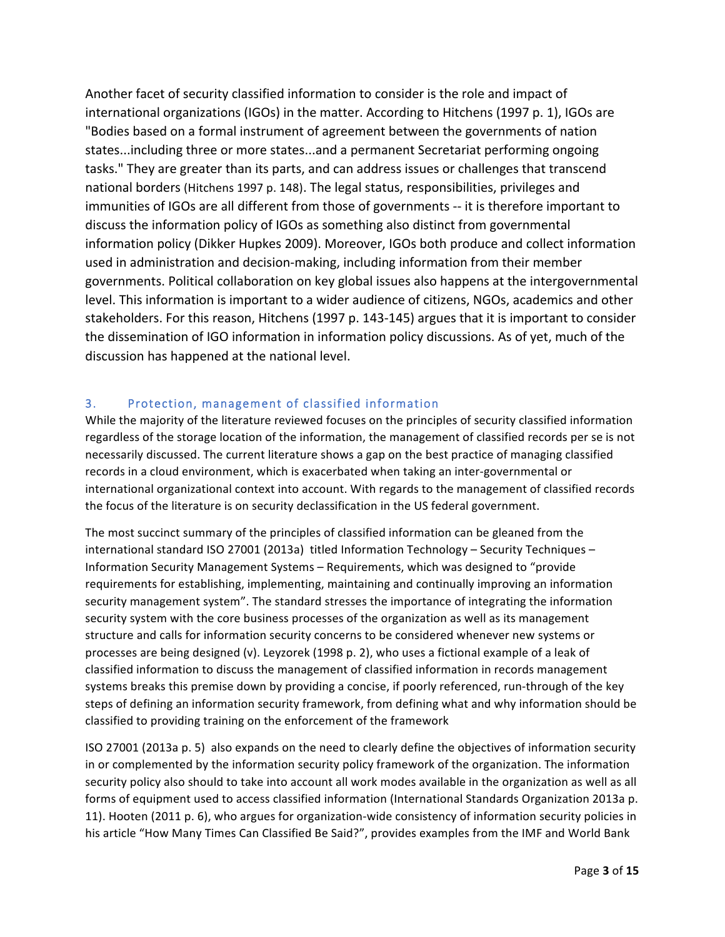Another facet of security classified information to consider is the role and impact of international organizations (IGOs) in the matter. According to Hitchens (1997 p. 1), IGOs are "Bodies based on a formal instrument of agreement between the governments of nation states...including three or more states...and a permanent Secretariat performing ongoing tasks." They are greater than its parts, and can address issues or challenges that transcend national borders (Hitchens 1997 p. 148). The legal status, responsibilities, privileges and immunities of IGOs are all different from those of governments -- it is therefore important to discuss the information policy of IGOs as something also distinct from governmental information policy (Dikker Hupkes 2009). Moreover, IGOs both produce and collect information used in administration and decision-making, including information from their member governments. Political collaboration on key global issues also happens at the intergovernmental level. This information is important to a wider audience of citizens, NGOs, academics and other stakeholders. For this reason, Hitchens (1997 p. 143-145) argues that it is important to consider the dissemination of IGO information in information policy discussions. As of yet, much of the discussion has happened at the national level.

### 3. Protection, management of classified information

While the majority of the literature reviewed focuses on the principles of security classified information regardless of the storage location of the information, the management of classified records per se is not necessarily discussed. The current literature shows a gap on the best practice of managing classified records in a cloud environment, which is exacerbated when taking an inter-governmental or international organizational context into account. With regards to the management of classified records the focus of the literature is on security declassification in the US federal government.

The most succinct summary of the principles of classified information can be gleaned from the international standard ISO 27001 (2013a) titled Information Technology - Security Techniques -Information Security Management Systems - Requirements, which was designed to "provide" requirements for establishing, implementing, maintaining and continually improving an information security management system". The standard stresses the importance of integrating the information security system with the core business processes of the organization as well as its management structure and calls for information security concerns to be considered whenever new systems or processes are being designed (v). Leyzorek (1998 p. 2), who uses a fictional example of a leak of classified information to discuss the management of classified information in records management systems breaks this premise down by providing a concise, if poorly referenced, run-through of the key steps of defining an information security framework, from defining what and why information should be classified to providing training on the enforcement of the framework

ISO 27001 (2013a p. 5) also expands on the need to clearly define the objectives of information security in or complemented by the information security policy framework of the organization. The information security policy also should to take into account all work modes available in the organization as well as all forms of equipment used to access classified information (International Standards Organization 2013a p. 11). Hooten (2011 p. 6), who argues for organization-wide consistency of information security policies in his article "How Many Times Can Classified Be Said?", provides examples from the IMF and World Bank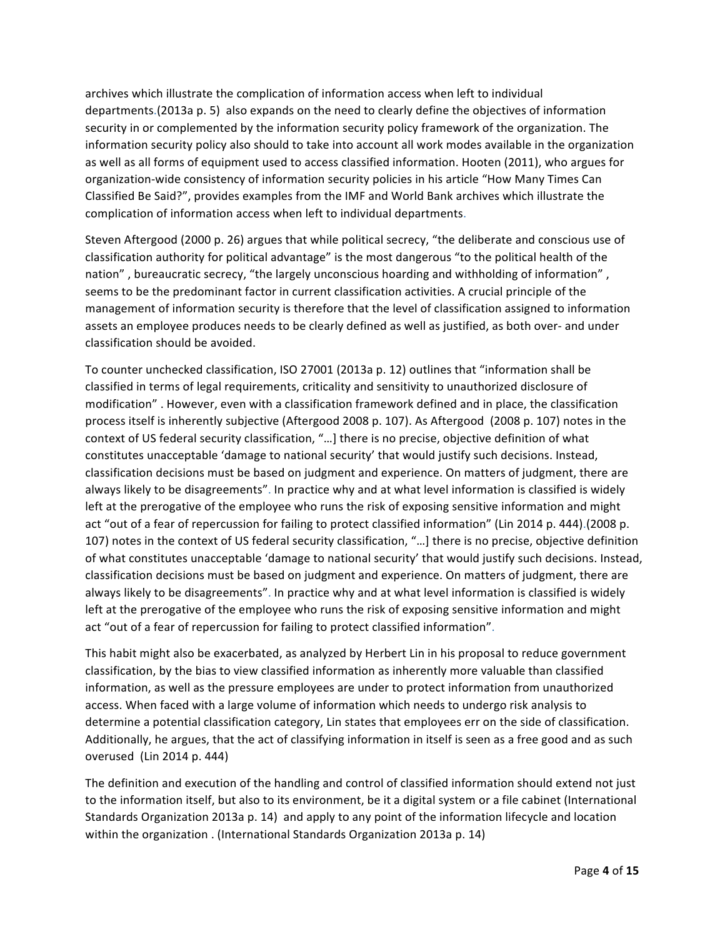archives which illustrate the complication of information access when left to individual departments.(2013a p. 5) also expands on the need to clearly define the objectives of information security in or complemented by the information security policy framework of the organization. The information security policy also should to take into account all work modes available in the organization as well as all forms of equipment used to access classified information. Hooten (2011), who argues for organization-wide consistency of information security policies in his article "How Many Times Can Classified Be Said?", provides examples from the IMF and World Bank archives which illustrate the complication of information access when left to individual departments.

Steven Aftergood (2000 p. 26) argues that while political secrecy, "the deliberate and conscious use of classification authority for political advantage" is the most dangerous "to the political health of the nation", bureaucratic secrecy, "the largely unconscious hoarding and withholding of information", seems to be the predominant factor in current classification activities. A crucial principle of the management of information security is therefore that the level of classification assigned to information assets an employee produces needs to be clearly defined as well as justified, as both over- and under classification should be avoided.

To counter unchecked classification, ISO 27001 (2013a p. 12) outlines that "information shall be classified in terms of legal requirements, criticality and sensitivity to unauthorized disclosure of modification" . However, even with a classification framework defined and in place, the classification process itself is inherently subjective (Aftergood 2008 p. 107). As Aftergood (2008 p. 107) notes in the context of US federal security classification, "...] there is no precise, objective definition of what constitutes unacceptable 'damage to national security' that would justify such decisions. Instead, classification decisions must be based on judgment and experience. On matters of judgment, there are always likely to be disagreements". In practice why and at what level information is classified is widely left at the prerogative of the employee who runs the risk of exposing sensitive information and might act "out of a fear of repercussion for failing to protect classified information" (Lin 2014 p. 444).(2008 p. 107) notes in the context of US federal security classification, "...] there is no precise, objective definition of what constitutes unacceptable 'damage to national security' that would justify such decisions. Instead, classification decisions must be based on judgment and experience. On matters of judgment, there are always likely to be disagreements". In practice why and at what level information is classified is widely left at the prerogative of the employee who runs the risk of exposing sensitive information and might act "out of a fear of repercussion for failing to protect classified information".

This habit might also be exacerbated, as analyzed by Herbert Lin in his proposal to reduce government classification, by the bias to view classified information as inherently more valuable than classified information, as well as the pressure employees are under to protect information from unauthorized access. When faced with a large volume of information which needs to undergo risk analysis to determine a potential classification category, Lin states that employees err on the side of classification. Additionally, he argues, that the act of classifying information in itself is seen as a free good and as such overused (Lin 2014 p. 444)

The definition and execution of the handling and control of classified information should extend not just to the information itself, but also to its environment, be it a digital system or a file cabinet (International Standards Organization 2013a p. 14) and apply to any point of the information lifecycle and location within the organization . (International Standards Organization 2013a p. 14)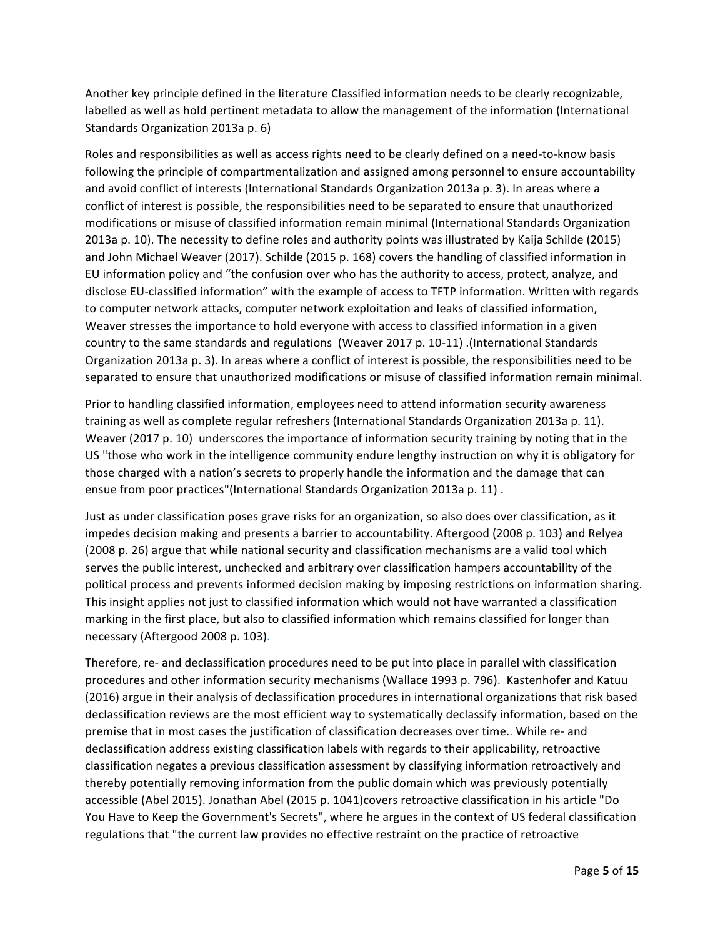Another key principle defined in the literature Classified information needs to be clearly recognizable, labelled as well as hold pertinent metadata to allow the management of the information (International Standards Organization 2013a p. 6)

Roles and responsibilities as well as access rights need to be clearly defined on a need-to-know basis following the principle of compartmentalization and assigned among personnel to ensure accountability and avoid conflict of interests (International Standards Organization 2013a p. 3). In areas where a conflict of interest is possible, the responsibilities need to be separated to ensure that unauthorized modifications or misuse of classified information remain minimal (International Standards Organization 2013a p. 10). The necessity to define roles and authority points was illustrated by Kaija Schilde (2015) and John Michael Weaver (2017). Schilde (2015 p. 168) covers the handling of classified information in EU information policy and "the confusion over who has the authority to access, protect, analyze, and disclose EU-classified information" with the example of access to TFTP information. Written with regards to computer network attacks, computer network exploitation and leaks of classified information, Weaver stresses the importance to hold everyone with access to classified information in a given country to the same standards and regulations (Weaver 2017 p. 10-11) .(International Standards Organization 2013a p. 3). In areas where a conflict of interest is possible, the responsibilities need to be separated to ensure that unauthorized modifications or misuse of classified information remain minimal.

Prior to handling classified information, employees need to attend information security awareness training as well as complete regular refreshers (International Standards Organization 2013a p. 11). Weaver (2017 p. 10) underscores the importance of information security training by noting that in the US "those who work in the intelligence community endure lengthy instruction on why it is obligatory for those charged with a nation's secrets to properly handle the information and the damage that can ensue from poor practices"(International Standards Organization 2013a p. 11).

Just as under classification poses grave risks for an organization, so also does over classification, as it impedes decision making and presents a barrier to accountability. Aftergood (2008 p. 103) and Relyea (2008 p. 26) argue that while national security and classification mechanisms are a valid tool which serves the public interest, unchecked and arbitrary over classification hampers accountability of the political process and prevents informed decision making by imposing restrictions on information sharing. This insight applies not just to classified information which would not have warranted a classification marking in the first place, but also to classified information which remains classified for longer than necessary (Aftergood 2008 p. 103).

Therefore, re- and declassification procedures need to be put into place in parallel with classification procedures and other information security mechanisms (Wallace 1993 p. 796). Kastenhofer and Katuu (2016) argue in their analysis of declassification procedures in international organizations that risk based declassification reviews are the most efficient way to systematically declassify information, based on the premise that in most cases the justification of classification decreases over time.. While re- and declassification address existing classification labels with regards to their applicability, retroactive classification negates a previous classification assessment by classifying information retroactively and thereby potentially removing information from the public domain which was previously potentially accessible (Abel 2015). Jonathan Abel (2015 p. 1041)covers retroactive classification in his article "Do You Have to Keep the Government's Secrets", where he argues in the context of US federal classification regulations that "the current law provides no effective restraint on the practice of retroactive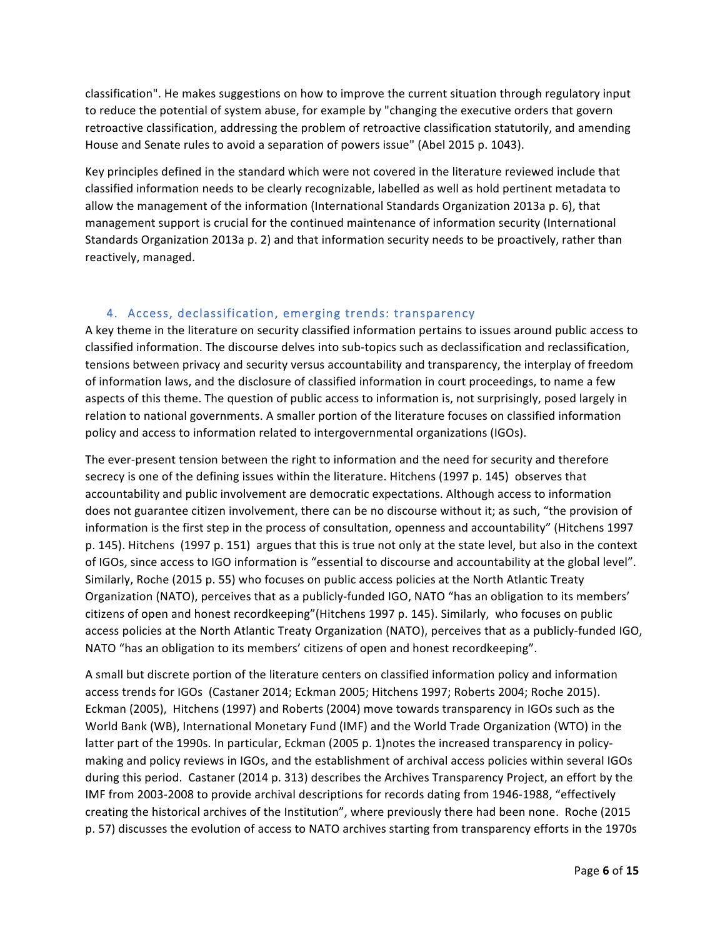classification". He makes suggestions on how to improve the current situation through regulatory input to reduce the potential of system abuse, for example by "changing the executive orders that govern retroactive classification, addressing the problem of retroactive classification statutorily, and amending House and Senate rules to avoid a separation of powers issue" (Abel 2015 p. 1043).

Key principles defined in the standard which were not covered in the literature reviewed include that classified information needs to be clearly recognizable, labelled as well as hold pertinent metadata to allow the management of the information (International Standards Organization 2013a p. 6), that management support is crucial for the continued maintenance of information security (International Standards Organization 2013a p. 2) and that information security needs to be proactively, rather than reactively, managed.

### 4. Access, declassification, emerging trends: transparency

A key theme in the literature on security classified information pertains to issues around public access to classified information. The discourse delves into sub-topics such as declassification and reclassification, tensions between privacy and security versus accountability and transparency, the interplay of freedom of information laws, and the disclosure of classified information in court proceedings, to name a few aspects of this theme. The question of public access to information is, not surprisingly, posed largely in relation to national governments. A smaller portion of the literature focuses on classified information policy and access to information related to intergovernmental organizations (IGOs).

The ever-present tension between the right to information and the need for security and therefore secrecy is one of the defining issues within the literature. Hitchens (1997 p. 145) observes that accountability and public involvement are democratic expectations. Although access to information does not guarantee citizen involvement, there can be no discourse without it; as such, "the provision of information is the first step in the process of consultation, openness and accountability" (Hitchens 1997 p. 145). Hitchens (1997 p. 151) argues that this is true not only at the state level, but also in the context of IGOs, since access to IGO information is "essential to discourse and accountability at the global level". Similarly, Roche (2015 p. 55) who focuses on public access policies at the North Atlantic Treaty Organization (NATO), perceives that as a publicly-funded IGO, NATO "has an obligation to its members' citizens of open and honest recordkeeping" (Hitchens 1997 p. 145). Similarly, who focuses on public access policies at the North Atlantic Treaty Organization (NATO), perceives that as a publicly-funded IGO, NATO "has an obligation to its members' citizens of open and honest recordkeeping".

A small but discrete portion of the literature centers on classified information policy and information access trends for IGOs (Castaner 2014; Eckman 2005; Hitchens 1997; Roberts 2004; Roche 2015). Eckman (2005), Hitchens (1997) and Roberts (2004) move towards transparency in IGOs such as the World Bank (WB), International Monetary Fund (IMF) and the World Trade Organization (WTO) in the latter part of the 1990s. In particular, Eckman (2005 p. 1)notes the increased transparency in policymaking and policy reviews in IGOs, and the establishment of archival access policies within several IGOs during this period. Castaner (2014 p. 313) describes the Archives Transparency Project, an effort by the IMF from 2003-2008 to provide archival descriptions for records dating from 1946-1988, "effectively creating the historical archives of the Institution", where previously there had been none. Roche (2015 p. 57) discusses the evolution of access to NATO archives starting from transparency efforts in the 1970s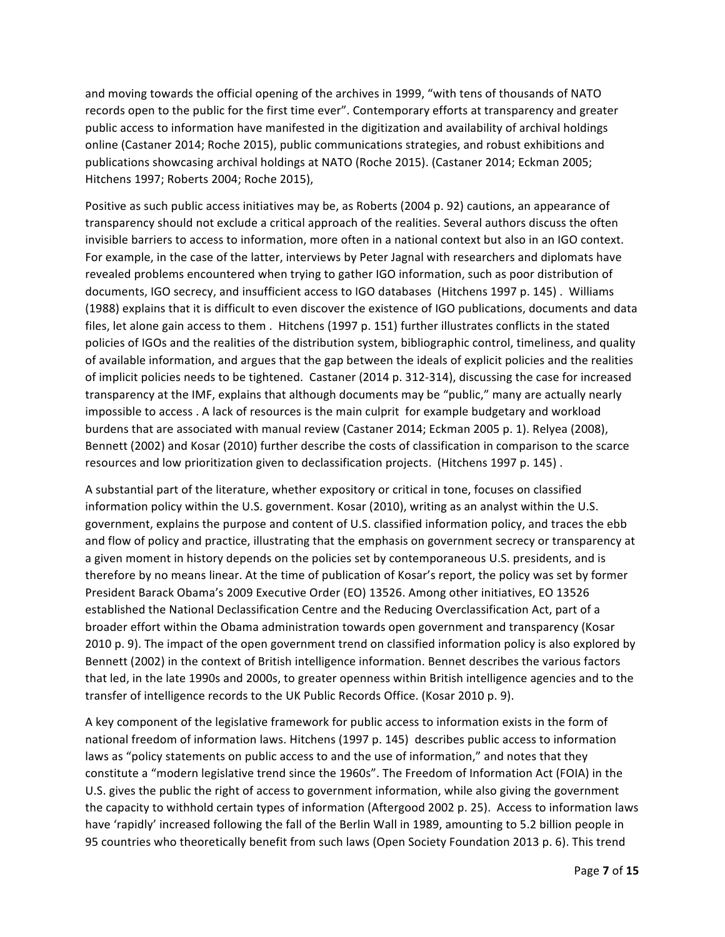and moving towards the official opening of the archives in 1999, "with tens of thousands of NATO records open to the public for the first time ever". Contemporary efforts at transparency and greater public access to information have manifested in the digitization and availability of archival holdings online (Castaner 2014; Roche 2015), public communications strategies, and robust exhibitions and publications showcasing archival holdings at NATO (Roche 2015). (Castaner 2014; Eckman 2005; Hitchens 1997; Roberts 2004; Roche 2015),

Positive as such public access initiatives may be, as Roberts (2004 p. 92) cautions, an appearance of transparency should not exclude a critical approach of the realities. Several authors discuss the often invisible barriers to access to information, more often in a national context but also in an IGO context. For example, in the case of the latter, interviews by Peter Jagnal with researchers and diplomats have revealed problems encountered when trying to gather IGO information, such as poor distribution of documents, IGO secrecy, and insufficient access to IGO databases (Hitchens 1997 p. 145). Williams (1988) explains that it is difficult to even discover the existence of IGO publications, documents and data files, let alone gain access to them . Hitchens (1997 p. 151) further illustrates conflicts in the stated policies of IGOs and the realities of the distribution system, bibliographic control, timeliness, and quality of available information, and argues that the gap between the ideals of explicit policies and the realities of implicit policies needs to be tightened. Castaner (2014 p. 312-314), discussing the case for increased transparency at the IMF, explains that although documents may be "public," many are actually nearly impossible to access . A lack of resources is the main culprit for example budgetary and workload burdens that are associated with manual review (Castaner 2014; Eckman 2005 p. 1). Relyea (2008), Bennett (2002) and Kosar (2010) further describe the costs of classification in comparison to the scarce resources and low prioritization given to declassification projects. (Hitchens 1997 p. 145).

A substantial part of the literature, whether expository or critical in tone, focuses on classified information policy within the U.S. government. Kosar (2010), writing as an analyst within the U.S. government, explains the purpose and content of U.S. classified information policy, and traces the ebb and flow of policy and practice, illustrating that the emphasis on government secrecy or transparency at a given moment in history depends on the policies set by contemporaneous U.S. presidents, and is therefore by no means linear. At the time of publication of Kosar's report, the policy was set by former President Barack Obama's 2009 Executive Order (EO) 13526. Among other initiatives, EO 13526 established the National Declassification Centre and the Reducing Overclassification Act, part of a broader effort within the Obama administration towards open government and transparency (Kosar 2010 p. 9). The impact of the open government trend on classified information policy is also explored by Bennett (2002) in the context of British intelligence information. Bennet describes the various factors that led, in the late 1990s and 2000s, to greater openness within British intelligence agencies and to the transfer of intelligence records to the UK Public Records Office. (Kosar 2010 p. 9).

A key component of the legislative framework for public access to information exists in the form of national freedom of information laws. Hitchens (1997 p. 145) describes public access to information laws as "policy statements on public access to and the use of information," and notes that they constitute a "modern legislative trend since the 1960s". The Freedom of Information Act (FOIA) in the U.S. gives the public the right of access to government information, while also giving the government the capacity to withhold certain types of information (Aftergood 2002 p. 25). Access to information laws have 'rapidly' increased following the fall of the Berlin Wall in 1989, amounting to 5.2 billion people in 95 countries who theoretically benefit from such laws (Open Society Foundation 2013 p. 6). This trend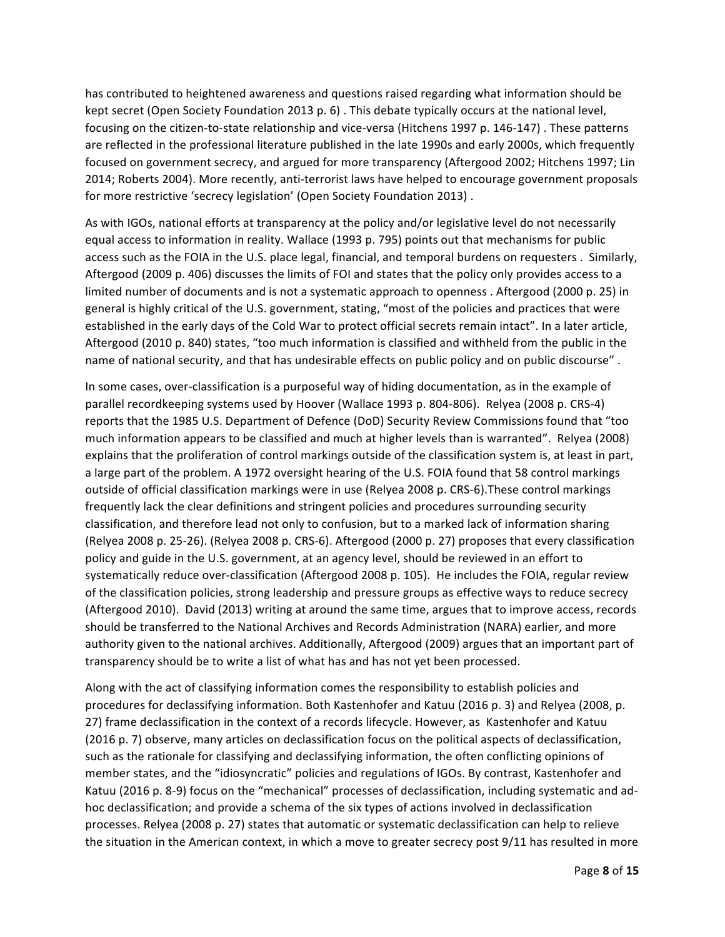has contributed to heightened awareness and questions raised regarding what information should be kept secret (Open Society Foundation 2013 p. 6). This debate typically occurs at the national level, focusing on the citizen-to-state relationship and vice-versa (Hitchens 1997 p. 146-147). These patterns are reflected in the professional literature published in the late 1990s and early 2000s, which frequently focused on government secrecy, and argued for more transparency (Aftergood 2002; Hitchens 1997; Lin 2014; Roberts 2004). More recently, anti-terrorist laws have helped to encourage government proposals for more restrictive 'secrecy legislation' (Open Society Foundation 2013).

As with IGOs, national efforts at transparency at the policy and/or legislative level do not necessarily equal access to information in reality. Wallace (1993 p. 795) points out that mechanisms for public access such as the FOIA in the U.S. place legal, financial, and temporal burdens on requesters . Similarly, Aftergood (2009 p. 406) discusses the limits of FOI and states that the policy only provides access to a limited number of documents and is not a systematic approach to openness . Aftergood (2000 p. 25) in general is highly critical of the U.S. government, stating, "most of the policies and practices that were established in the early days of the Cold War to protect official secrets remain intact". In a later article, Aftergood (2010 p. 840) states, "too much information is classified and withheld from the public in the name of national security, and that has undesirable effects on public policy and on public discourse".

In some cases, over-classification is a purposeful way of hiding documentation, as in the example of parallel recordkeeping systems used by Hoover (Wallace 1993 p. 804-806). Relyea (2008 p. CRS-4) reports that the 1985 U.S. Department of Defence (DoD) Security Review Commissions found that "too much information appears to be classified and much at higher levels than is warranted". Relyea (2008) explains that the proliferation of control markings outside of the classification system is, at least in part, a large part of the problem. A 1972 oversight hearing of the U.S. FOIA found that 58 control markings outside of official classification markings were in use (Relyea 2008 p. CRS-6). These control markings frequently lack the clear definitions and stringent policies and procedures surrounding security classification, and therefore lead not only to confusion, but to a marked lack of information sharing (Relyea 2008 p. 25-26). (Relyea 2008 p. CRS-6). Aftergood (2000 p. 27) proposes that every classification policy and guide in the U.S. government, at an agency level, should be reviewed in an effort to systematically reduce over-classification (Aftergood 2008 p. 105). He includes the FOIA, regular review of the classification policies, strong leadership and pressure groups as effective ways to reduce secrecy (Aftergood 2010). David (2013) writing at around the same time, argues that to improve access, records should be transferred to the National Archives and Records Administration (NARA) earlier, and more authority given to the national archives. Additionally, Aftergood (2009) argues that an important part of transparency should be to write a list of what has and has not yet been processed.

Along with the act of classifying information comes the responsibility to establish policies and procedures for declassifying information. Both Kastenhofer and Katuu (2016 p. 3) and Relyea (2008, p. 27) frame declassification in the context of a records lifecycle. However, as Kastenhofer and Katuu (2016 p. 7) observe, many articles on declassification focus on the political aspects of declassification, such as the rationale for classifying and declassifying information, the often conflicting opinions of member states, and the "idiosyncratic" policies and regulations of IGOs. By contrast, Kastenhofer and Katuu (2016 p. 8-9) focus on the "mechanical" processes of declassification, including systematic and adhoc declassification; and provide a schema of the six types of actions involved in declassification processes. Relyea (2008 p. 27) states that automatic or systematic declassification can help to relieve the situation in the American context, in which a move to greater secrecy post  $9/11$  has resulted in more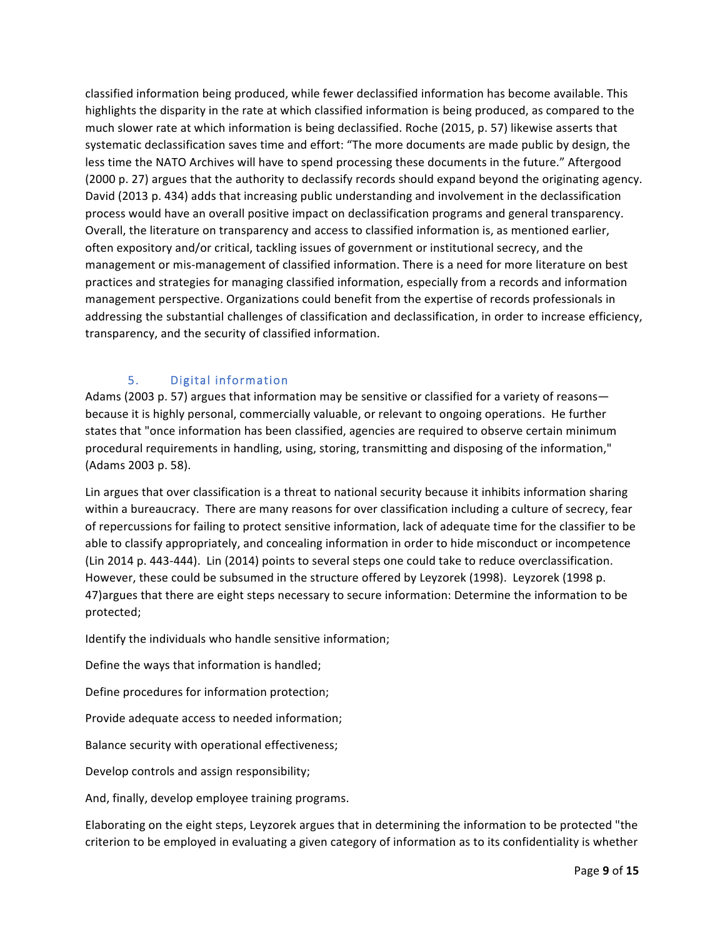classified information being produced, while fewer declassified information has become available. This highlights the disparity in the rate at which classified information is being produced, as compared to the much slower rate at which information is being declassified. Roche (2015, p. 57) likewise asserts that systematic declassification saves time and effort: "The more documents are made public by design, the less time the NATO Archives will have to spend processing these documents in the future." Aftergood (2000 p. 27) argues that the authority to declassify records should expand beyond the originating agency. David (2013 p. 434) adds that increasing public understanding and involvement in the declassification process would have an overall positive impact on declassification programs and general transparency. Overall, the literature on transparency and access to classified information is, as mentioned earlier, often expository and/or critical, tackling issues of government or institutional secrecy, and the management or mis-management of classified information. There is a need for more literature on best practices and strategies for managing classified information, especially from a records and information management perspective. Organizations could benefit from the expertise of records professionals in addressing the substantial challenges of classification and declassification, in order to increase efficiency, transparency, and the security of classified information.

# 5. Digital information

Adams (2003 p. 57) argues that information may be sensitive or classified for a variety of reasons because it is highly personal, commercially valuable, or relevant to ongoing operations. He further states that "once information has been classified, agencies are required to observe certain minimum procedural requirements in handling, using, storing, transmitting and disposing of the information," (Adams 2003 p. 58).

Lin argues that over classification is a threat to national security because it inhibits information sharing within a bureaucracy. There are many reasons for over classification including a culture of secrecy, fear of repercussions for failing to protect sensitive information, lack of adequate time for the classifier to be able to classify appropriately, and concealing information in order to hide misconduct or incompetence (Lin 2014 p. 443-444). Lin (2014) points to several steps one could take to reduce overclassification. However, these could be subsumed in the structure offered by Leyzorek (1998). Leyzorek (1998 p. 47) argues that there are eight steps necessary to secure information: Determine the information to be protected;

Identify the individuals who handle sensitive information;

Define the ways that information is handled;

Define procedures for information protection;

Provide adequate access to needed information;

Balance security with operational effectiveness;

Develop controls and assign responsibility;

And, finally, develop employee training programs.

Elaborating on the eight steps, Leyzorek argues that in determining the information to be protected "the criterion to be employed in evaluating a given category of information as to its confidentiality is whether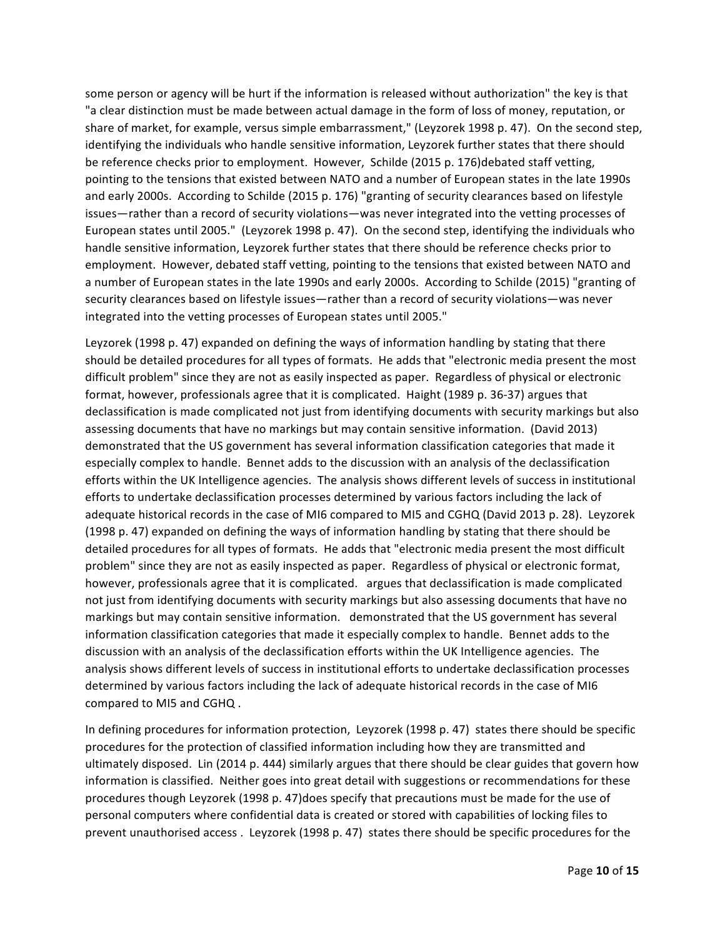some person or agency will be hurt if the information is released without authorization" the key is that "a clear distinction must be made between actual damage in the form of loss of money, reputation, or share of market, for example, versus simple embarrassment," (Leyzorek 1998 p. 47). On the second step, identifying the individuals who handle sensitive information, Leyzorek further states that there should be reference checks prior to employment. However, Schilde (2015 p. 176)debated staff vetting, pointing to the tensions that existed between NATO and a number of European states in the late 1990s and early 2000s. According to Schilde (2015 p. 176) "granting of security clearances based on lifestyle issues—rather than a record of security violations—was never integrated into the vetting processes of European states until 2005." (Leyzorek 1998 p. 47). On the second step, identifying the individuals who handle sensitive information, Leyzorek further states that there should be reference checks prior to employment. However, debated staff vetting, pointing to the tensions that existed between NATO and a number of European states in the late 1990s and early 2000s. According to Schilde (2015) "granting of security clearances based on lifestyle issues—rather than a record of security violations—was never integrated into the vetting processes of European states until 2005."

Leyzorek (1998 p. 47) expanded on defining the ways of information handling by stating that there should be detailed procedures for all types of formats. He adds that "electronic media present the most difficult problem" since they are not as easily inspected as paper. Regardless of physical or electronic format, however, professionals agree that it is complicated. Haight (1989 p. 36-37) argues that declassification is made complicated not just from identifying documents with security markings but also assessing documents that have no markings but may contain sensitive information. (David 2013) demonstrated that the US government has several information classification categories that made it especially complex to handle. Bennet adds to the discussion with an analysis of the declassification efforts within the UK Intelligence agencies. The analysis shows different levels of success in institutional efforts to undertake declassification processes determined by various factors including the lack of adequate historical records in the case of MI6 compared to MI5 and CGHQ (David 2013 p. 28). Leyzorek (1998 p. 47) expanded on defining the ways of information handling by stating that there should be detailed procedures for all types of formats. He adds that "electronic media present the most difficult problem" since they are not as easily inspected as paper. Regardless of physical or electronic format, however, professionals agree that it is complicated. argues that declassification is made complicated not just from identifying documents with security markings but also assessing documents that have no markings but may contain sensitive information. demonstrated that the US government has several information classification categories that made it especially complex to handle. Bennet adds to the discussion with an analysis of the declassification efforts within the UK Intelligence agencies. The analysis shows different levels of success in institutional efforts to undertake declassification processes determined by various factors including the lack of adequate historical records in the case of MI6 compared to MI5 and CGHQ.

In defining procedures for information protection, Leyzorek (1998 p. 47) states there should be specific procedures for the protection of classified information including how they are transmitted and ultimately disposed. Lin (2014 p. 444) similarly argues that there should be clear guides that govern how information is classified. Neither goes into great detail with suggestions or recommendations for these procedures though Leyzorek (1998 p. 47)does specify that precautions must be made for the use of personal computers where confidential data is created or stored with capabilities of locking files to prevent unauthorised access . Leyzorek (1998 p. 47) states there should be specific procedures for the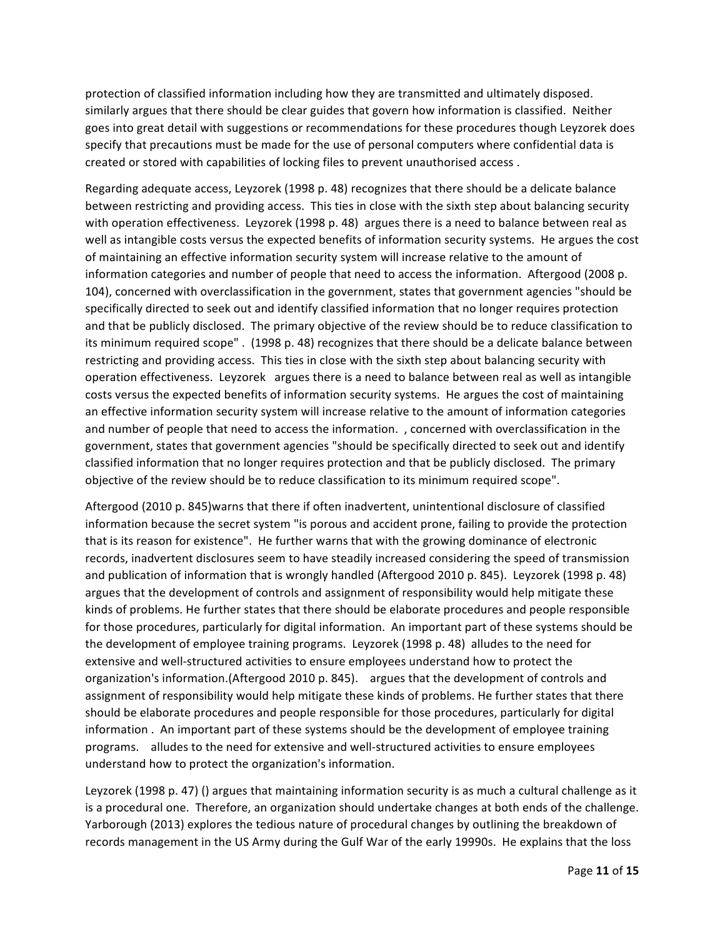protection of classified information including how they are transmitted and ultimately disposed. similarly argues that there should be clear guides that govern how information is classified. Neither goes into great detail with suggestions or recommendations for these procedures though Leyzorek does specify that precautions must be made for the use of personal computers where confidential data is created or stored with capabilities of locking files to prevent unauthorised access.

Regarding adequate access, Leyzorek (1998 p. 48) recognizes that there should be a delicate balance between restricting and providing access. This ties in close with the sixth step about balancing security with operation effectiveness. Leyzorek (1998 p. 48) argues there is a need to balance between real as well as intangible costs versus the expected benefits of information security systems. He argues the cost of maintaining an effective information security system will increase relative to the amount of information categories and number of people that need to access the information. Aftergood (2008 p. 104), concerned with overclassification in the government, states that government agencies "should be specifically directed to seek out and identify classified information that no longer requires protection and that be publicly disclosed. The primary objective of the review should be to reduce classification to its minimum required scope". (1998 p. 48) recognizes that there should be a delicate balance between restricting and providing access. This ties in close with the sixth step about balancing security with operation effectiveness. Leyzorek argues there is a need to balance between real as well as intangible costs versus the expected benefits of information security systems. He argues the cost of maintaining an effective information security system will increase relative to the amount of information categories and number of people that need to access the information. , concerned with overclassification in the government, states that government agencies "should be specifically directed to seek out and identify classified information that no longer requires protection and that be publicly disclosed. The primary objective of the review should be to reduce classification to its minimum required scope".

Aftergood (2010 p. 845)warns that there if often inadvertent, unintentional disclosure of classified information because the secret system "is porous and accident prone, failing to provide the protection that is its reason for existence". He further warns that with the growing dominance of electronic records, inadvertent disclosures seem to have steadily increased considering the speed of transmission and publication of information that is wrongly handled (Aftergood 2010 p. 845). Leyzorek (1998 p. 48) argues that the development of controls and assignment of responsibility would help mitigate these kinds of problems. He further states that there should be elaborate procedures and people responsible for those procedures, particularly for digital information. An important part of these systems should be the development of employee training programs. Leyzorek (1998 p. 48) alludes to the need for extensive and well-structured activities to ensure employees understand how to protect the organization's information.(Aftergood 2010 p. 845). argues that the development of controls and assignment of responsibility would help mitigate these kinds of problems. He further states that there should be elaborate procedures and people responsible for those procedures, particularly for digital information . An important part of these systems should be the development of employee training programs. alludes to the need for extensive and well-structured activities to ensure employees understand how to protect the organization's information.

Leyzorek (1998 p. 47) () argues that maintaining information security is as much a cultural challenge as it is a procedural one. Therefore, an organization should undertake changes at both ends of the challenge. Yarborough (2013) explores the tedious nature of procedural changes by outlining the breakdown of records management in the US Army during the Gulf War of the early 19990s. He explains that the loss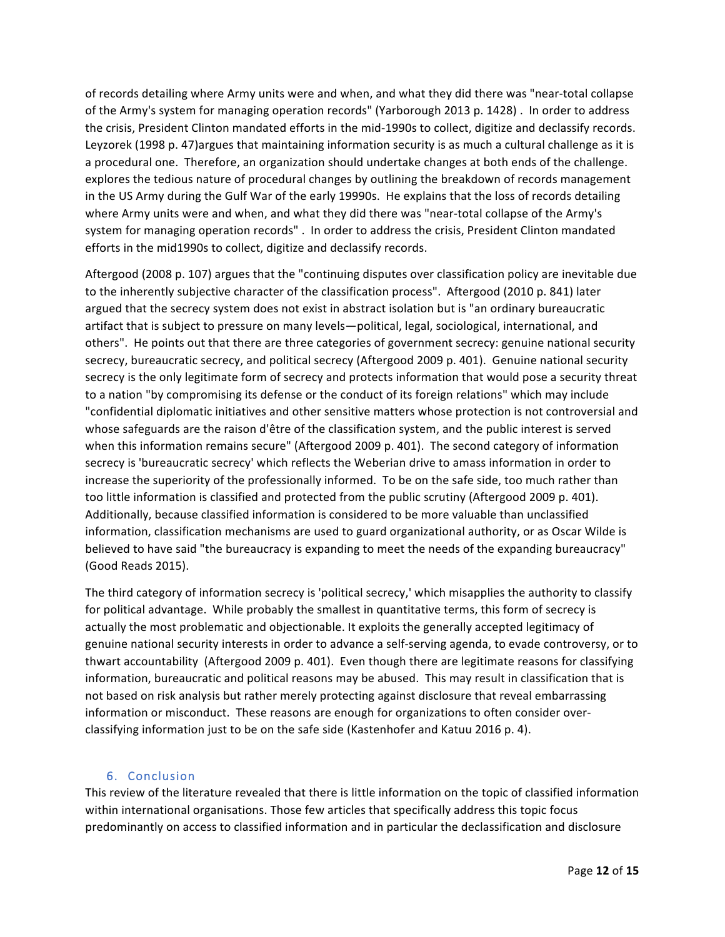of records detailing where Army units were and when, and what they did there was "near-total collapse of the Army's system for managing operation records" (Yarborough 2013 p. 1428). In order to address the crisis, President Clinton mandated efforts in the mid-1990s to collect, digitize and declassify records. Leyzorek (1998 p. 47)argues that maintaining information security is as much a cultural challenge as it is a procedural one. Therefore, an organization should undertake changes at both ends of the challenge. explores the tedious nature of procedural changes by outlining the breakdown of records management in the US Army during the Gulf War of the early 19990s. He explains that the loss of records detailing where Army units were and when, and what they did there was "near-total collapse of the Army's system for managing operation records". In order to address the crisis, President Clinton mandated efforts in the mid1990s to collect, digitize and declassify records.

Aftergood (2008 p. 107) argues that the "continuing disputes over classification policy are inevitable due to the inherently subjective character of the classification process". Aftergood (2010 p. 841) later argued that the secrecy system does not exist in abstract isolation but is "an ordinary bureaucratic artifact that is subject to pressure on many levels—political, legal, sociological, international, and others". He points out that there are three categories of government secrecy: genuine national security secrecy, bureaucratic secrecy, and political secrecy (Aftergood 2009 p. 401). Genuine national security secrecy is the only legitimate form of secrecy and protects information that would pose a security threat to a nation "by compromising its defense or the conduct of its foreign relations" which may include "confidential diplomatic initiatives and other sensitive matters whose protection is not controversial and whose safeguards are the raison d'être of the classification system, and the public interest is served when this information remains secure" (Aftergood 2009 p. 401). The second category of information secrecy is 'bureaucratic secrecy' which reflects the Weberian drive to amass information in order to increase the superiority of the professionally informed. To be on the safe side, too much rather than too little information is classified and protected from the public scrutiny (Aftergood 2009 p. 401). Additionally, because classified information is considered to be more valuable than unclassified information, classification mechanisms are used to guard organizational authority, or as Oscar Wilde is believed to have said "the bureaucracy is expanding to meet the needs of the expanding bureaucracy" (Good Reads 2015).

The third category of information secrecy is 'political secrecy,' which misapplies the authority to classify for political advantage. While probably the smallest in quantitative terms, this form of secrecy is actually the most problematic and objectionable. It exploits the generally accepted legitimacy of genuine national security interests in order to advance a self-serving agenda, to evade controversy, or to thwart accountability (Aftergood 2009 p. 401). Even though there are legitimate reasons for classifying information, bureaucratic and political reasons may be abused. This may result in classification that is not based on risk analysis but rather merely protecting against disclosure that reveal embarrassing information or misconduct. These reasons are enough for organizations to often consider overclassifying information just to be on the safe side (Kastenhofer and Katuu 2016 p. 4).

#### 6. Conclusion

This review of the literature revealed that there is little information on the topic of classified information within international organisations. Those few articles that specifically address this topic focus predominantly on access to classified information and in particular the declassification and disclosure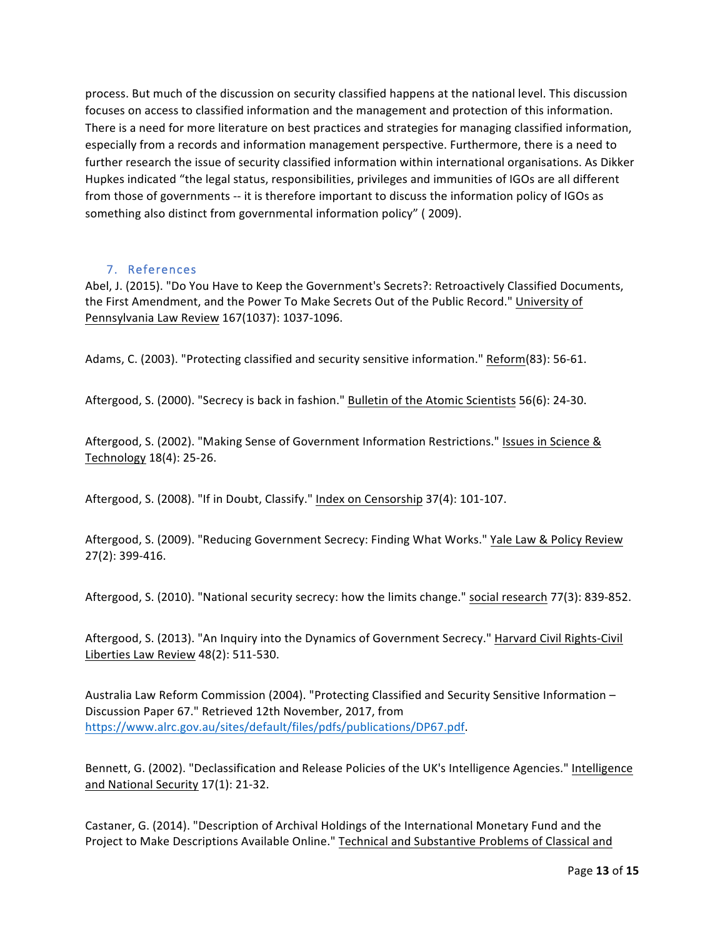process. But much of the discussion on security classified happens at the national level. This discussion focuses on access to classified information and the management and protection of this information. There is a need for more literature on best practices and strategies for managing classified information, especially from a records and information management perspective. Furthermore, there is a need to further research the issue of security classified information within international organisations. As Dikker Hupkes indicated "the legal status, responsibilities, privileges and immunities of IGOs are all different from those of governments -- it is therefore important to discuss the information policy of IGOs as something also distinct from governmental information policy" (2009).

### 7. References

Abel, J. (2015). "Do You Have to Keep the Government's Secrets?: Retroactively Classified Documents, the First Amendment, and the Power To Make Secrets Out of the Public Record." University of Pennsylvania Law Review 167(1037): 1037-1096.

Adams, C. (2003). "Protecting classified and security sensitive information." Reform(83): 56-61.

Aftergood, S. (2000). "Secrecy is back in fashion." Bulletin of the Atomic Scientists 56(6): 24-30.

Aftergood, S. (2002). "Making Sense of Government Information Restrictions." Issues in Science & Technology 18(4): 25-26.

Aftergood, S. (2008). "If in Doubt, Classify." Index on Censorship 37(4): 101-107.

Aftergood, S. (2009). "Reducing Government Secrecy: Finding What Works." Yale Law & Policy Review 27(2): 399-416.

Aftergood, S. (2010). "National security secrecy: how the limits change." social research 77(3): 839-852.

Aftergood, S. (2013). "An Inquiry into the Dynamics of Government Secrecy." Harvard Civil Rights-Civil Liberties Law Review 48(2): 511-530.

Australia Law Reform Commission (2004). "Protecting Classified and Security Sensitive Information -Discussion Paper 67." Retrieved 12th November, 2017, from https://www.alrc.gov.au/sites/default/files/pdfs/publications/DP67.pdf.

Bennett, G. (2002). "Declassification and Release Policies of the UK's Intelligence Agencies." Intelligence and National Security 17(1): 21-32.

Castaner, G. (2014). "Description of Archival Holdings of the International Monetary Fund and the Project to Make Descriptions Available Online." Technical and Substantive Problems of Classical and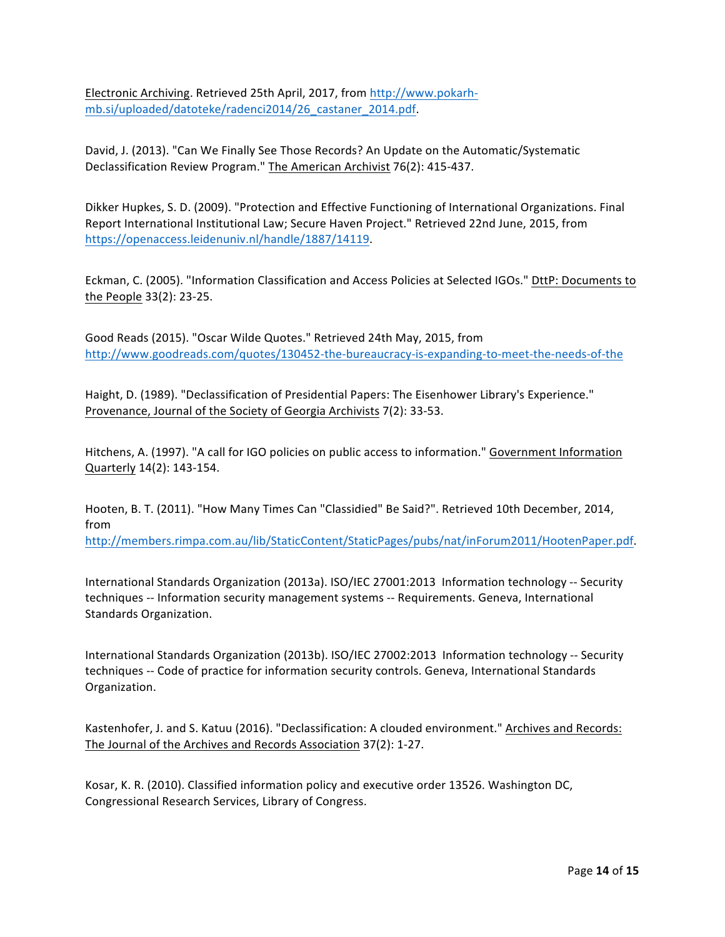Electronic Archiving. Retrieved 25th April, 2017, from http://www.pokarhmb.si/uploaded/datoteke/radenci2014/26\_castaner\_2014.pdf.

David, J. (2013). "Can We Finally See Those Records? An Update on the Automatic/Systematic Declassification Review Program." The American Archivist 76(2): 415-437.

Dikker Hupkes, S. D. (2009). "Protection and Effective Functioning of International Organizations. Final Report International Institutional Law; Secure Haven Project." Retrieved 22nd June, 2015, from https://openaccess.leidenuniv.nl/handle/1887/14119.

Eckman, C. (2005). "Information Classification and Access Policies at Selected IGOs." DttP: Documents to the People 33(2): 23-25.

Good Reads (2015). "Oscar Wilde Quotes." Retrieved 24th May, 2015, from http://www.goodreads.com/quotes/130452-the-bureaucracy-is-expanding-to-meet-the-needs-of-the

Haight, D. (1989). "Declassification of Presidential Papers: The Eisenhower Library's Experience." Provenance, Journal of the Society of Georgia Archivists 7(2): 33-53.

Hitchens, A. (1997). "A call for IGO policies on public access to information." Government Information Quarterly 14(2): 143-154.

Hooten, B. T. (2011). "How Many Times Can "Classidied" Be Said?". Retrieved 10th December, 2014, from 

http://members.rimpa.com.au/lib/StaticContent/StaticPages/pubs/nat/inForum2011/HootenPaper.pdf.

International Standards Organization (2013a). ISO/IEC 27001:2013 Information technology -- Security techniques -- Information security management systems -- Requirements. Geneva, International Standards Organization.

International Standards Organization (2013b). ISO/IEC 27002:2013 Information technology -- Security techniques -- Code of practice for information security controls. Geneva, International Standards Organization.

Kastenhofer, J. and S. Katuu (2016). "Declassification: A clouded environment." Archives and Records: The Journal of the Archives and Records Association 37(2): 1-27.

Kosar, K. R. (2010). Classified information policy and executive order 13526. Washington DC, Congressional Research Services, Library of Congress.